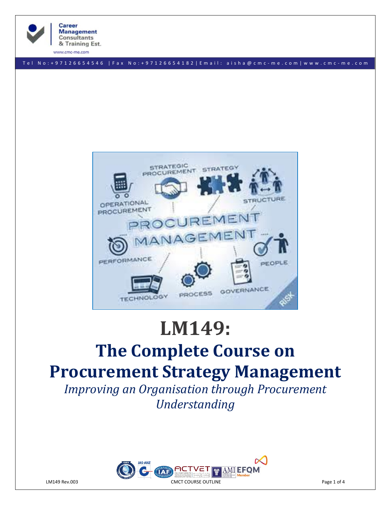

& Training Est.

**Career Management Consultants** 

www.cmc-me.com

T e l N o : + 9 7 1 2 6 6 5 4 5 4 6 | F a x N o : + 9 7 1 2 6 6 5 4 1 8 2 | E m a i l : a i s h a @ c m c - m e . c o m | w w w . c m c - m e . c o m



# **LM149: The Complete Course on Procurement Strategy Management**

*Improving an Organisation through Procurement Understanding*

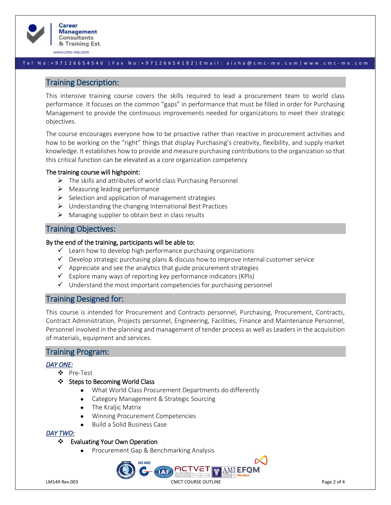

www.cmc-me.com

#### T e l N o : + 9 7 1 2 6 6 5 4 5 4 6 | F a x N o : + 9 7 1 2 6 6 5 4 1 8 2 | E m a i l : a i s h a @ c m c - m e . c o m | w w w . c m c - m e . c o m

### Training Description:

This intensive training course covers the skills required to lead a procurement team to world class performance. It focuses on the common "gaps" in performance that must be filled in order for Purchasing Management to provide the continuous improvements needed for organizations to meet their strategic objectives.

The course encourages everyone how to be proactive rather than reactive in procurement activities and how to be working on the "right" things that display Purchasing's creativity, flexibility, and supply market knowledge. It establishes how to provide and measure purchasing contributions to the organization so that this critical function can be elevated as a core organization competency

#### The training course will highpoint:

- ➢ The skills and attributes of world class Purchasing Personnel
- $\triangleright$  Measuring leading performance
- ➢ Selection and application of management strategies
- ➢ Understanding the changing International Best Practices
- $\triangleright$  Managing supplier to obtain best in class results

# Training Objectives:

#### By the end of the training, participants will be able to:

- $\checkmark$  Learn how to develop high performance purchasing organizations
- $\checkmark$  Develop strategic purchasing plans & discuss how to improve internal customer service
- $\checkmark$  Appreciate and see the analytics that guide procurement strategies
- $\checkmark$  Explore many ways of reporting key performance indicators (KPIs)
- $\checkmark$  Understand the most important competencies for purchasing personnel

# Training Designed for:

This course is intended for Procurement and Contracts personnel, Purchasing, Procurement, Contracts, Contract Administration, Projects personnel, Engineering, Facilities, Finance and Maintenance Personnel, Personnel involved in the planning and management of tender process as well as Leaders in the acquisition of materials, equipment and services.

# Training Program:

#### *DAY ONE:*

- ❖ Pre-Test
- ❖ Steps to Becoming World Class
	- What World Class Procurement Departments do differently
	- Category Management & Strategic Sourcing
	- The Kraljic Matrix
	- Winning Procurement Competencies
	- Build a Solid Business Case

#### *DAY TWO:*

#### Evaluating Your Own Operation

• Procurement Gap & Benchmarking Analysis

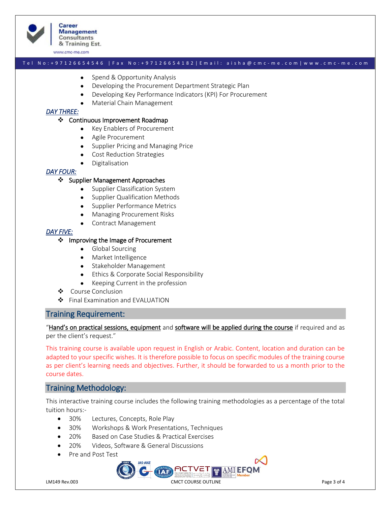

**Career Management Consultants** & Training Est.

www.cmc-me.com

#### T e l N o : + 9 7 1 2 6 6 5 4 5 4 6 | F a x N o : + 9 7 1 2 6 6 5 4 1 8 2 | E m a i l : a i s h a @ c m c - m e . c o m | w w w . c m c - m e . c o m

- Spend & Opportunity Analysis
- Developing the Procurement Department Strategic Plan
- Developing Key Performance Indicators (KPI) For Procurement
- Material Chain Management

#### *DAY THREE:*

#### ❖ Continuous Improvement Roadmap

- Key Enablers of Procurement
- Agile Procurement
- Supplier Pricing and Managing Price
- Cost Reduction Strategies
- **Digitalisation**

#### *DAY FOUR:*

#### ❖ Supplier Management Approaches

- Supplier Classification System
- Supplier Qualification Methods
- Supplier Performance Metrics
- Managing Procurement Risks
- Contract Management

#### *DAY FIVE:*

#### ❖ Improving the Image of Procurement

- Global Sourcing
- Market Intelligence
- Stakeholder Management
- Ethics & Corporate Social Responsibility
- Keeping Current in the profession
- ❖ Course Conclusion
- ❖ Final Examination and EVALUATION

#### Training Requirement:

"Hand's on practical sessions, equipment and software will be applied during the course if required and as per the client's request."

This training course is available upon request in English or Arabic. Content, location and duration can be adapted to your specific wishes. It is therefore possible to focus on specific modules of the training course as per client's learning needs and objectives. Further, it should be forwarded to us a month prior to the course dates.

# Training Methodology:

This interactive training course includes the following training methodologies as a percentage of the total tuition hours:-

- 30% Lectures, Concepts, Role Play
- 30% Workshops & Work Presentations, Techniques
- 20% Based on Case Studies & Practical Exercises
- 20% Videos, Software & General Discussions
- Pre and Post Test